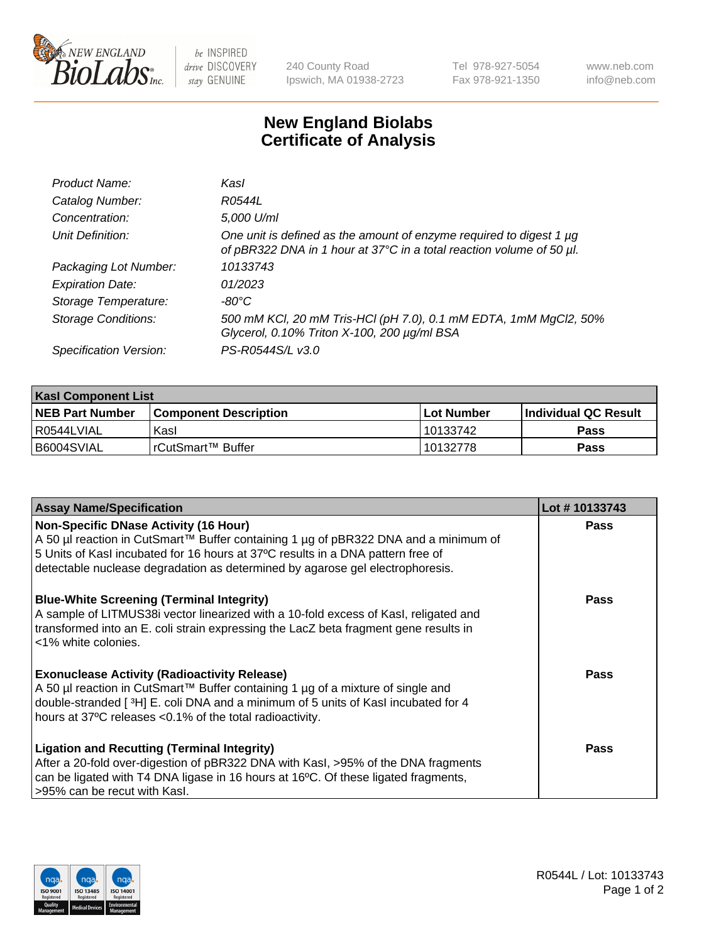

 $be$  INSPIRED drive DISCOVERY stay GENUINE

240 County Road Ipswich, MA 01938-2723 Tel 978-927-5054 Fax 978-921-1350 www.neb.com info@neb.com

## **New England Biolabs Certificate of Analysis**

| Product Name:              | Kasl                                                                                                                                        |
|----------------------------|---------------------------------------------------------------------------------------------------------------------------------------------|
| Catalog Number:            | R0544L                                                                                                                                      |
| Concentration:             | 5,000 U/ml                                                                                                                                  |
| Unit Definition:           | One unit is defined as the amount of enzyme required to digest 1 µg<br>of pBR322 DNA in 1 hour at 37°C in a total reaction volume of 50 µl. |
| Packaging Lot Number:      | 10133743                                                                                                                                    |
| <b>Expiration Date:</b>    | 01/2023                                                                                                                                     |
| Storage Temperature:       | $-80^{\circ}$ C                                                                                                                             |
| <b>Storage Conditions:</b> | 500 mM KCl, 20 mM Tris-HCl (pH 7.0), 0.1 mM EDTA, 1mM MgCl2, 50%<br>Glycerol, 0.10% Triton X-100, 200 µg/ml BSA                             |
| Specification Version:     | PS-R0544S/L v3.0                                                                                                                            |

| <b>Kasl Component List</b> |                              |              |                             |  |  |
|----------------------------|------------------------------|--------------|-----------------------------|--|--|
| <b>NEB Part Number</b>     | <b>Component Description</b> | l Lot Number | <b>Individual QC Result</b> |  |  |
| R0544LVIAL                 | Kasl                         | 10133742     | Pass                        |  |  |
| B6004SVIAL                 | l rCutSmart™ Buffer          | 10132778     | Pass                        |  |  |

| <b>Assay Name/Specification</b>                                                                                                                                                                                                                                                                         | Lot #10133743 |
|---------------------------------------------------------------------------------------------------------------------------------------------------------------------------------------------------------------------------------------------------------------------------------------------------------|---------------|
| <b>Non-Specific DNase Activity (16 Hour)</b><br>A 50 µl reaction in CutSmart™ Buffer containing 1 µg of pBR322 DNA and a minimum of<br>5 Units of Kasl incubated for 16 hours at 37°C results in a DNA pattern free of<br>detectable nuclease degradation as determined by agarose gel electrophoresis. | Pass          |
| <b>Blue-White Screening (Terminal Integrity)</b><br>A sample of LITMUS38i vector linearized with a 10-fold excess of Kasl, religated and<br>transformed into an E. coli strain expressing the LacZ beta fragment gene results in<br><1% white colonies.                                                 | <b>Pass</b>   |
| <b>Exonuclease Activity (Radioactivity Release)</b><br>A 50 µl reaction in CutSmart™ Buffer containing 1 µg of a mixture of single and<br>double-stranded [3H] E. coli DNA and a minimum of 5 units of Kasl incubated for 4<br>hours at 37°C releases <0.1% of the total radioactivity.                 | Pass          |
| <b>Ligation and Recutting (Terminal Integrity)</b><br>After a 20-fold over-digestion of pBR322 DNA with Kasl, >95% of the DNA fragments<br>can be ligated with T4 DNA ligase in 16 hours at 16°C. Of these ligated fragments,<br>>95% can be recut with Kasl.                                           | Pass          |